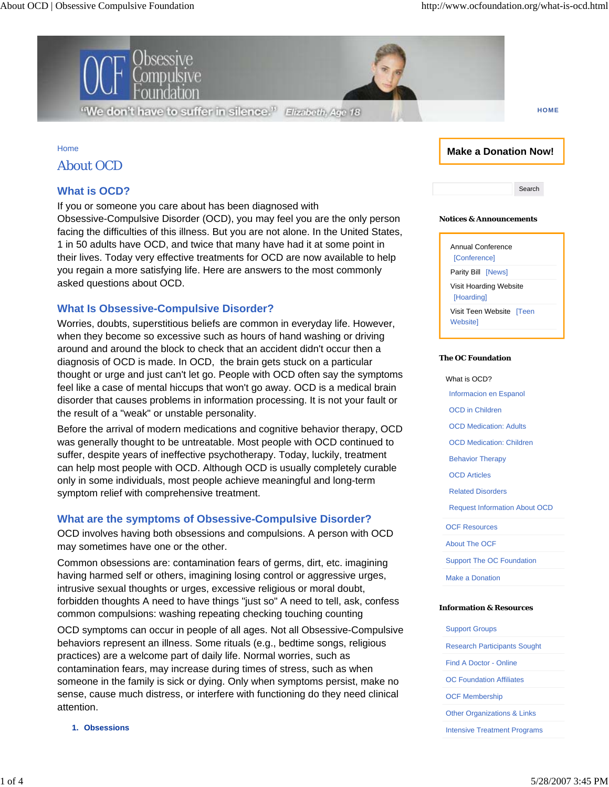

**HOME**

### Home

## About OCD

# **What is OCD?**

If you or someone you care about has been diagnosed with

Obsessive-Compulsive Disorder (OCD), you may feel you are the only person facing the difficulties of this illness. But you are not alone. In the United States, 1 in 50 adults have OCD, and twice that many have had it at some point in their lives. Today very effective treatments for OCD are now available to help you regain a more satisfying life. Here are answers to the most commonly asked questions about OCD.

## **What Is Obsessive-Compulsive Disorder?**

Worries, doubts, superstitious beliefs are common in everyday life. However, when they become so excessive such as hours of hand washing or driving around and around the block to check that an accident didn't occur then a diagnosis of OCD is made. In OCD, the brain gets stuck on a particular thought or urge and just can't let go. People with OCD often say the symptoms feel like a case of mental hiccups that won't go away. OCD is a medical brain disorder that causes problems in information processing. It is not your fault or the result of a "weak" or unstable personality.

Before the arrival of modern medications and cognitive behavior therapy, OCD was generally thought to be untreatable. Most people with OCD continued to suffer, despite years of ineffective psychotherapy. Today, luckily, treatment can help most people with OCD. Although OCD is usually completely curable only in some individuals, most people achieve meaningful and long-term symptom relief with comprehensive treatment.

# **What are the symptoms of Obsessive-Compulsive Disorder?**

OCD involves having both obsessions and compulsions. A person with OCD may sometimes have one or the other.

Common obsessions are: contamination fears of germs, dirt, etc. imagining having harmed self or others, imagining losing control or aggressive urges, intrusive sexual thoughts or urges, excessive religious or moral doubt, forbidden thoughts A need to have things "just so" A need to tell, ask, confess common compulsions: washing repeating checking touching counting

OCD symptoms can occur in people of all ages. Not all Obsessive-Compulsive behaviors represent an illness. Some rituals (e.g., bedtime songs, religious practices) are a welcome part of daily life. Normal worries, such as contamination fears, may increase during times of stress, such as when someone in the family is sick or dying. Only when symptoms persist, make no sense, cause much distress, or interfere with functioning do they need clinical attention.

**1. Obsessions**

## **Make a Donation Now!**

Search

### **Notices & Announcements**



### **The OC Foundation**

What is OCD? Informacion en Espanol OCD in Children OCD Medication: Adults OCD Medication: Children Behavior Therapy OCD Articles Related Disorders Request Information About OCD OCF Resources About The OCF Support The OC Foundation Make a Donation

#### **Information & Resources**

| <b>Support Groups</b>                  |
|----------------------------------------|
| <b>Research Participants Sought</b>    |
| <b>Find A Doctor - Online</b>          |
| <b>OC Foundation Affiliates</b>        |
| <b>OCF Membership</b>                  |
| <b>Other Organizations &amp; Links</b> |
|                                        |

Intensive Treatment Programs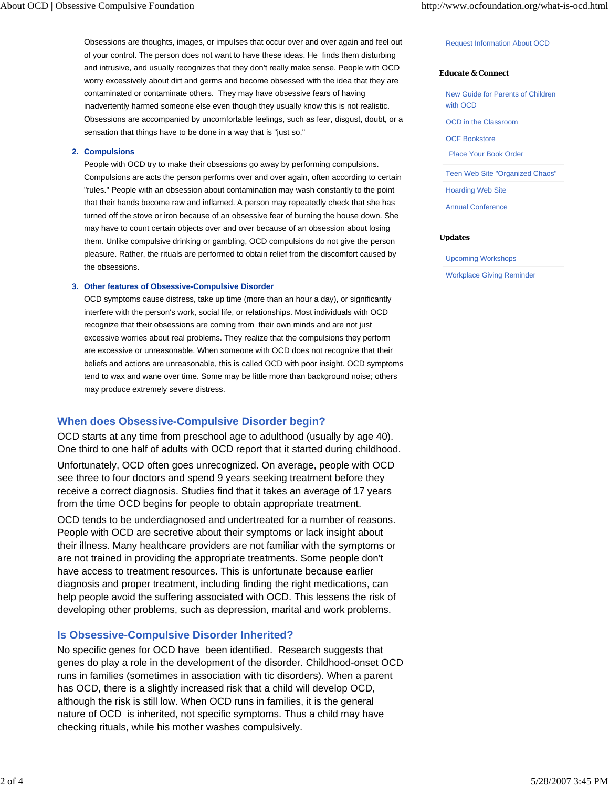Obsessions are thoughts, images, or impulses that occur over and over again and feel out of your control. The person does not want to have these ideas. He finds them disturbing and intrusive, and usually recognizes that they don't really make sense. People with OCD worry excessively about dirt and germs and become obsessed with the idea that they are contaminated or contaminate others. They may have obsessive fears of having inadvertently harmed someone else even though they usually know this is not realistic. Obsessions are accompanied by uncomfortable feelings, such as fear, disgust, doubt, or a sensation that things have to be done in a way that is "just so."

### **Compulsions 2.**

People with OCD try to make their obsessions go away by performing compulsions. Compulsions are acts the person performs over and over again, often according to certain "rules." People with an obsession about contamination may wash constantly to the point that their hands become raw and inflamed. A person may repeatedly check that she has turned off the stove or iron because of an obsessive fear of burning the house down. She may have to count certain objects over and over because of an obsession about losing them. Unlike compulsive drinking or gambling, OCD compulsions do not give the person pleasure. Rather, the rituals are performed to obtain relief from the discomfort caused by the obsessions.

### **Other features of Obsessive-Compulsive Disorder 3.**

OCD symptoms cause distress, take up time (more than an hour a day), or significantly interfere with the person's work, social life, or relationships. Most individuals with OCD recognize that their obsessions are coming from their own minds and are not just excessive worries about real problems. They realize that the compulsions they perform are excessive or unreasonable. When someone with OCD does not recognize that their beliefs and actions are unreasonable, this is called OCD with poor insight. OCD symptoms tend to wax and wane over time. Some may be little more than background noise; others may produce extremely severe distress.

### **When does Obsessive-Compulsive Disorder begin?**

OCD starts at any time from preschool age to adulthood (usually by age 40). One third to one half of adults with OCD report that it started during childhood.

Unfortunately, OCD often goes unrecognized. On average, people with OCD see three to four doctors and spend 9 years seeking treatment before they receive a correct diagnosis. Studies find that it takes an average of 17 years from the time OCD begins for people to obtain appropriate treatment.

OCD tends to be underdiagnosed and undertreated for a number of reasons. People with OCD are secretive about their symptoms or lack insight about their illness. Many healthcare providers are not familiar with the symptoms or are not trained in providing the appropriate treatments. Some people don't have access to treatment resources. This is unfortunate because earlier diagnosis and proper treatment, including finding the right medications, can help people avoid the suffering associated with OCD. This lessens the risk of developing other problems, such as depression, marital and work problems.

### **Is Obsessive-Compulsive Disorder Inherited?**

No specific genes for OCD have been identified. Research suggests that genes do play a role in the development of the disorder. Childhood-onset OCD runs in families (sometimes in association with tic disorders). When a parent has OCD, there is a slightly increased risk that a child will develop OCD, although the risk is still low. When OCD runs in families, it is the general nature of OCD is inherited, not specific symptoms. Thus a child may have checking rituals, while his mother washes compulsively.

#### Request Information About OCD

#### **Educate & Connect**

New Guide for Parents of Children with OCD

OCD in the Classroom

OCF Bookstore

Place Your Book Order

Teen Web Site "Organized Chaos"

Hoarding Web Site

Annual Conference

#### **Updates**

Upcoming Workshops

Workplace Giving Reminder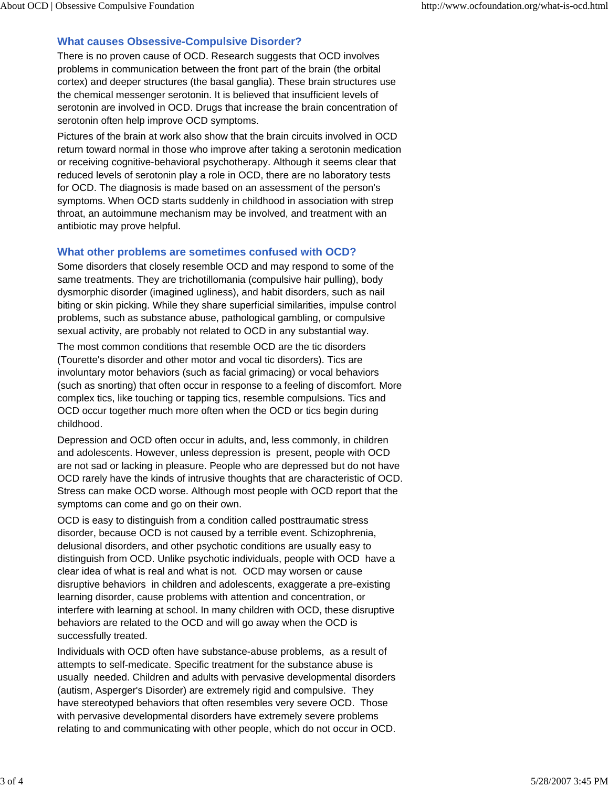# **What causes Obsessive-Compulsive Disorder?**

There is no proven cause of OCD. Research suggests that OCD involves problems in communication between the front part of the brain (the orbital cortex) and deeper structures (the basal ganglia). These brain structures use the chemical messenger serotonin. It is believed that insufficient levels of serotonin are involved in OCD. Drugs that increase the brain concentration of serotonin often help improve OCD symptoms.

Pictures of the brain at work also show that the brain circuits involved in OCD return toward normal in those who improve after taking a serotonin medication or receiving cognitive-behavioral psychotherapy. Although it seems clear that reduced levels of serotonin play a role in OCD, there are no laboratory tests for OCD. The diagnosis is made based on an assessment of the person's symptoms. When OCD starts suddenly in childhood in association with strep throat, an autoimmune mechanism may be involved, and treatment with an antibiotic may prove helpful.

## **What other problems are sometimes confused with OCD?**

Some disorders that closely resemble OCD and may respond to some of the same treatments. They are trichotillomania (compulsive hair pulling), body dysmorphic disorder (imagined ugliness), and habit disorders, such as nail biting or skin picking. While they share superficial similarities, impulse control problems, such as substance abuse, pathological gambling, or compulsive sexual activity, are probably not related to OCD in any substantial way.

The most common conditions that resemble OCD are the tic disorders (Tourette's disorder and other motor and vocal tic disorders). Tics are involuntary motor behaviors (such as facial grimacing) or vocal behaviors (such as snorting) that often occur in response to a feeling of discomfort. More complex tics, like touching or tapping tics, resemble compulsions. Tics and OCD occur together much more often when the OCD or tics begin during childhood.

Depression and OCD often occur in adults, and, less commonly, in children and adolescents. However, unless depression is present, people with OCD are not sad or lacking in pleasure. People who are depressed but do not have OCD rarely have the kinds of intrusive thoughts that are characteristic of OCD. Stress can make OCD worse. Although most people with OCD report that the symptoms can come and go on their own.

OCD is easy to distinguish from a condition called posttraumatic stress disorder, because OCD is not caused by a terrible event. Schizophrenia, delusional disorders, and other psychotic conditions are usually easy to distinguish from OCD. Unlike psychotic individuals, people with OCD have a clear idea of what is real and what is not. OCD may worsen or cause disruptive behaviors in children and adolescents, exaggerate a pre-existing learning disorder, cause problems with attention and concentration, or interfere with learning at school. In many children with OCD, these disruptive behaviors are related to the OCD and will go away when the OCD is successfully treated.

Individuals with OCD often have substance-abuse problems, as a result of attempts to self-medicate. Specific treatment for the substance abuse is usually needed. Children and adults with pervasive developmental disorders (autism, Asperger's Disorder) are extremely rigid and compulsive. They have stereotyped behaviors that often resembles very severe OCD. Those with pervasive developmental disorders have extremely severe problems relating to and communicating with other people, which do not occur in OCD.